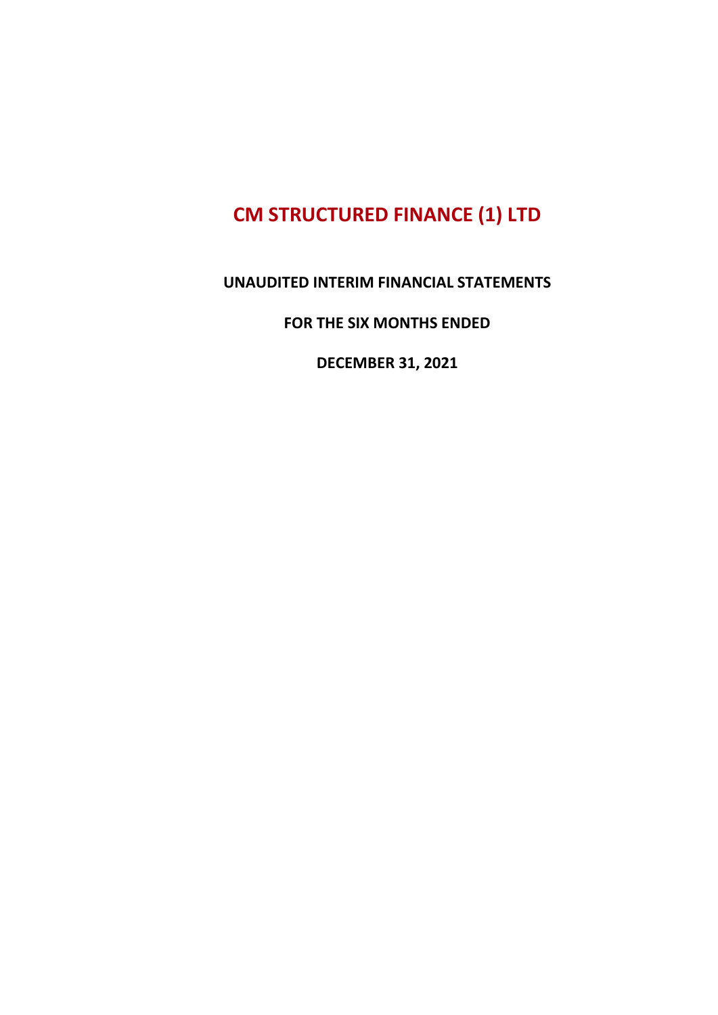#### **UNAUDITED INTERIM FINANCIAL STATEMENTS**

#### **FOR THE SIX MONTHS ENDED**

**DECEMBER 31, 2021**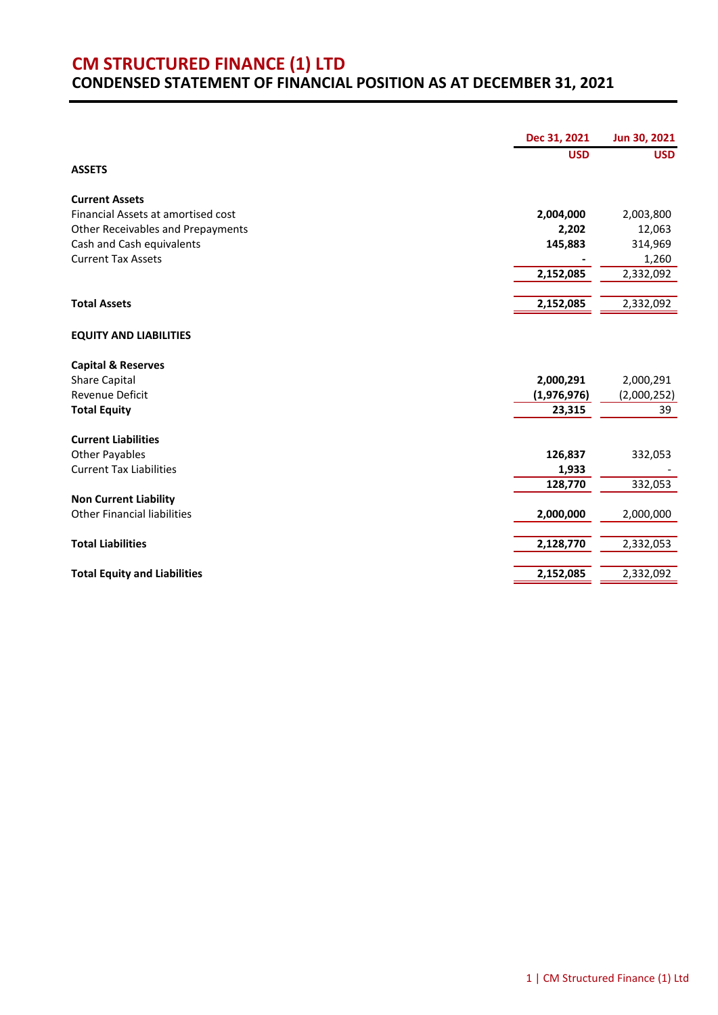#### **CM STRUCTURED FINANCE (1) LTD CONDENSED STATEMENT OF FINANCIAL POSITION AS AT DECEMBER 31, 2021**

|                                     | Dec 31, 2021 | Jun 30, 2021 |
|-------------------------------------|--------------|--------------|
|                                     | <b>USD</b>   | <b>USD</b>   |
| <b>ASSETS</b>                       |              |              |
| <b>Current Assets</b>               |              |              |
| Financial Assets at amortised cost  | 2,004,000    | 2,003,800    |
| Other Receivables and Prepayments   | 2,202        | 12,063       |
| Cash and Cash equivalents           | 145,883      | 314,969      |
| <b>Current Tax Assets</b>           |              | 1,260        |
|                                     | 2,152,085    | 2,332,092    |
|                                     |              |              |
| <b>Total Assets</b>                 | 2,152,085    | 2,332,092    |
| <b>EQUITY AND LIABILITIES</b>       |              |              |
| <b>Capital &amp; Reserves</b>       |              |              |
| <b>Share Capital</b>                | 2,000,291    | 2,000,291    |
| Revenue Deficit                     | (1,976,976)  | (2,000,252)  |
| <b>Total Equity</b>                 | 23,315       | 39           |
| <b>Current Liabilities</b>          |              |              |
| <b>Other Payables</b>               | 126,837      | 332,053      |
| <b>Current Tax Liabilities</b>      | 1,933        |              |
|                                     | 128,770      | 332,053      |
| <b>Non Current Liability</b>        |              |              |
| <b>Other Financial liabilities</b>  | 2,000,000    | 2,000,000    |
|                                     |              |              |
| <b>Total Liabilities</b>            | 2,128,770    | 2,332,053    |
| <b>Total Equity and Liabilities</b> | 2,152,085    | 2,332,092    |
|                                     |              |              |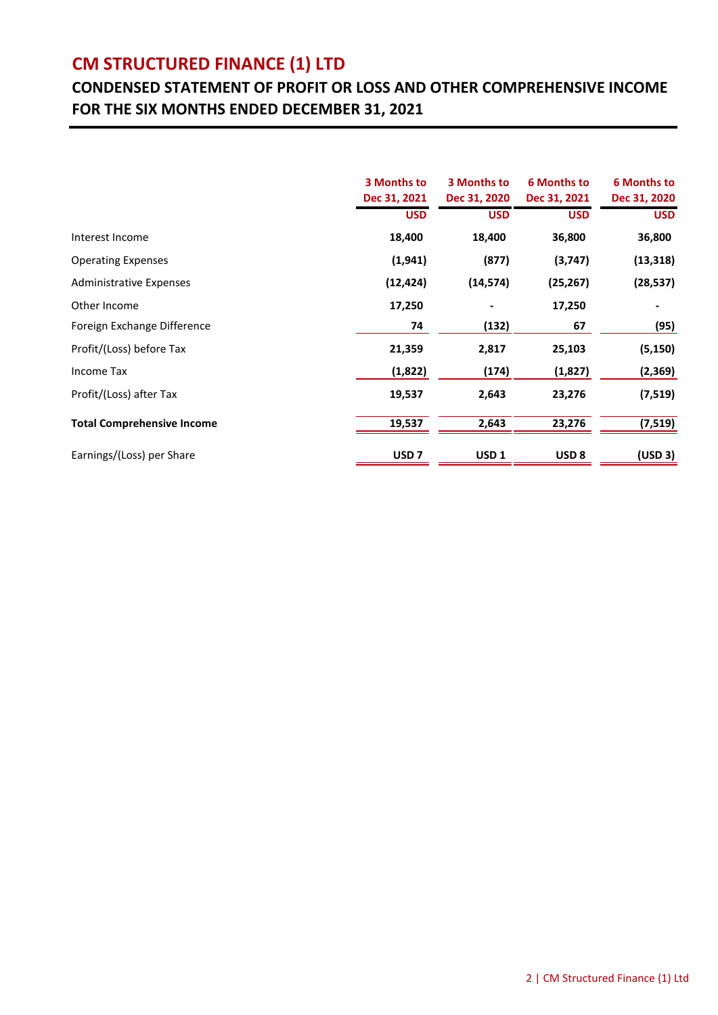### **CONDENSED STATEMENT OF PROFIT OR LOSS AND OTHER COMPREHENSIVE INCOME FOR THE SIX MONTHS ENDED DECEMBER 31, 2021**

|                                   | 3 Months to<br>Dec 31, 2021 | <b>3 Months to</b><br>Dec 31, 2020 | <b>6 Months to</b><br>Dec 31, 2021 | <b>6 Months to</b><br>Dec 31, 2020 |
|-----------------------------------|-----------------------------|------------------------------------|------------------------------------|------------------------------------|
|                                   | <b>USD</b>                  | <b>USD</b>                         | <b>USD</b>                         | <b>USD</b>                         |
| Interest Income                   | 18,400                      | 18,400                             | 36,800                             | 36,800                             |
| <b>Operating Expenses</b>         | (1,941)                     | (877)                              | (3,747)                            | (13, 318)                          |
| <b>Administrative Expenses</b>    | (12, 424)                   | (14, 574)                          | (25, 267)                          | (28, 537)                          |
| Other Income                      | 17,250                      |                                    | 17,250                             |                                    |
| Foreign Exchange Difference       | 74                          | (132)                              | 67                                 | (95)                               |
| Profit/(Loss) before Tax          | 21,359                      | 2,817                              | 25,103                             | (5, 150)                           |
| Income Tax                        | (1,822)                     | (174)                              | (1,827)                            | (2,369)                            |
| Profit/(Loss) after Tax           | 19,537                      | 2,643                              | 23,276                             | (7, 519)                           |
| <b>Total Comprehensive Income</b> | 19,537                      | 2,643                              | 23,276                             | (7, 519)                           |
| Earnings/(Loss) per Share         | USD <sub>7</sub>            | USD <sub>1</sub>                   | USD <sub>8</sub>                   | (USD 3)                            |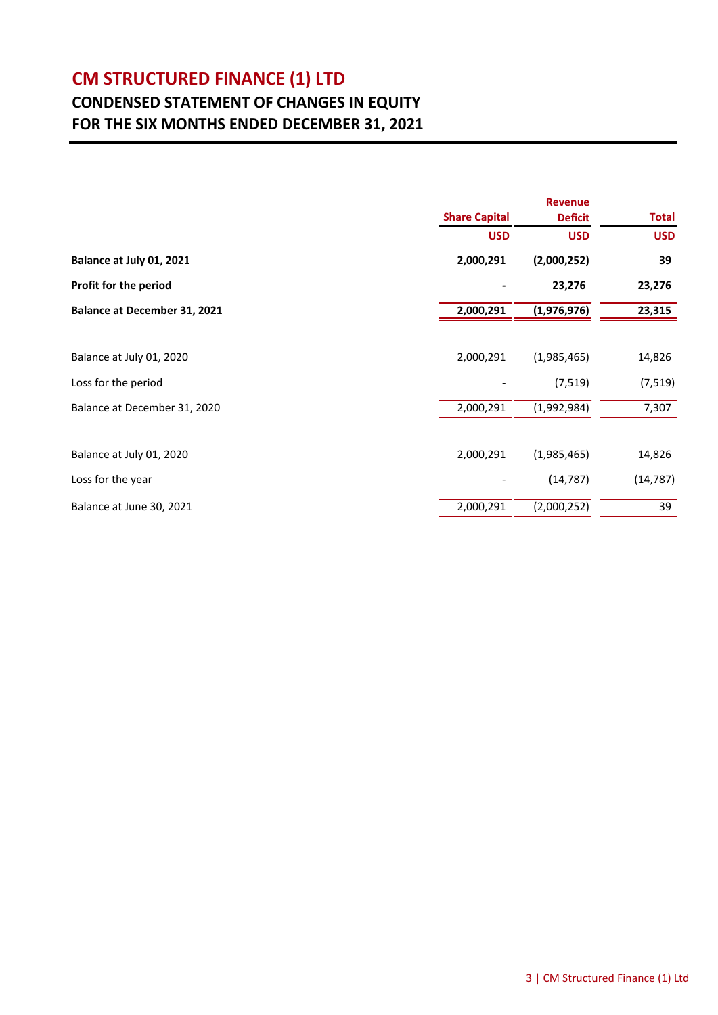### **CONDENSED STATEMENT OF CHANGES IN EQUITY FOR THE SIX MONTHS ENDED DECEMBER 31, 2021**

|                                     | <b>Revenue</b>       |                |              |  |
|-------------------------------------|----------------------|----------------|--------------|--|
|                                     | <b>Share Capital</b> | <b>Deficit</b> | <b>Total</b> |  |
|                                     | <b>USD</b>           | <b>USD</b>     | <b>USD</b>   |  |
| Balance at July 01, 2021            | 2,000,291            | (2,000,252)    | 39           |  |
| Profit for the period               |                      | 23,276         | 23,276       |  |
| <b>Balance at December 31, 2021</b> | 2,000,291            | (1,976,976)    | 23,315       |  |
|                                     |                      |                |              |  |
| Balance at July 01, 2020            | 2,000,291            | (1,985,465)    | 14,826       |  |
| Loss for the period                 |                      | (7, 519)       | (7, 519)     |  |
| Balance at December 31, 2020        | 2,000,291            | (1,992,984)    | 7,307        |  |
|                                     |                      |                |              |  |
| Balance at July 01, 2020            | 2,000,291            | (1,985,465)    | 14,826       |  |
| Loss for the year                   |                      | (14, 787)      | (14, 787)    |  |
| Balance at June 30, 2021            | 2,000,291            | (2,000,252)    | 39           |  |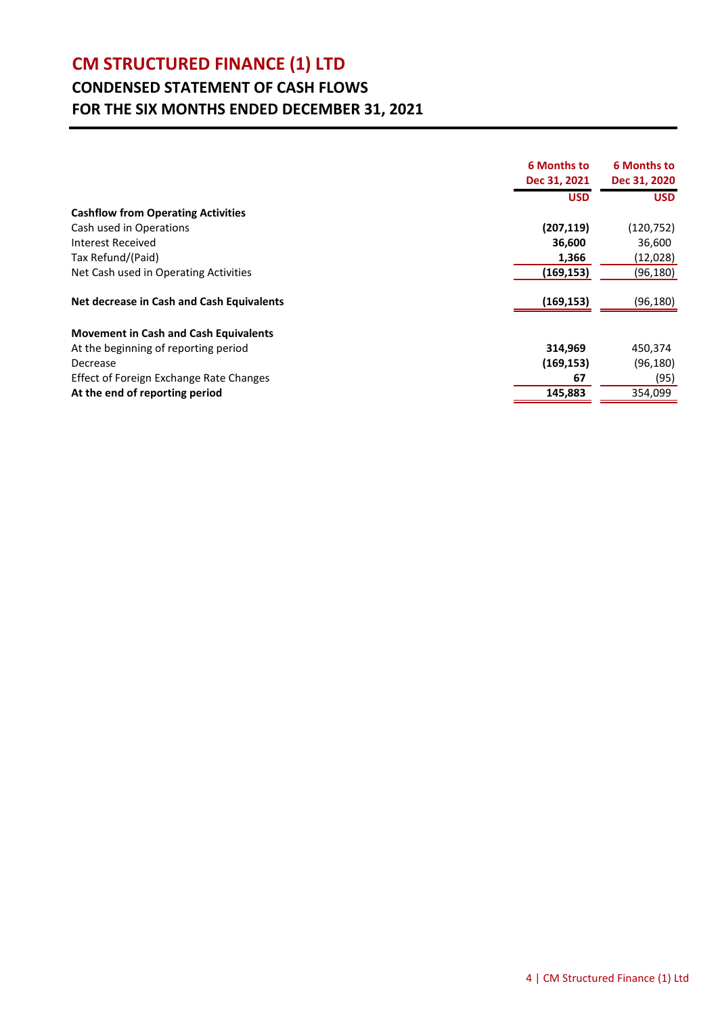### **CONDENSED STATEMENT OF CASH FLOWS FOR THE SIX MONTHS ENDED DECEMBER 31, 2021**

|                                              | <b>6 Months to</b> | <b>6 Months to</b> |
|----------------------------------------------|--------------------|--------------------|
|                                              | Dec 31, 2021       | Dec 31, 2020       |
|                                              | <b>USD</b>         | <b>USD</b>         |
| <b>Cashflow from Operating Activities</b>    |                    |                    |
| Cash used in Operations                      | (207, 119)         | (120,752)          |
| Interest Received                            | 36,600             | 36,600             |
| Tax Refund/(Paid)                            | 1,366              | (12,028)           |
| Net Cash used in Operating Activities        | (169, 153)         | (96, 180)          |
| Net decrease in Cash and Cash Equivalents    | (169, 153)         | (96, 180)          |
| <b>Movement in Cash and Cash Equivalents</b> |                    |                    |
| At the beginning of reporting period         | 314,969            | 450,374            |
| Decrease                                     | (169, 153)         | (96, 180)          |
| Effect of Foreign Exchange Rate Changes      | 67                 | (95)               |
| At the end of reporting period               | 145,883            | 354,099            |